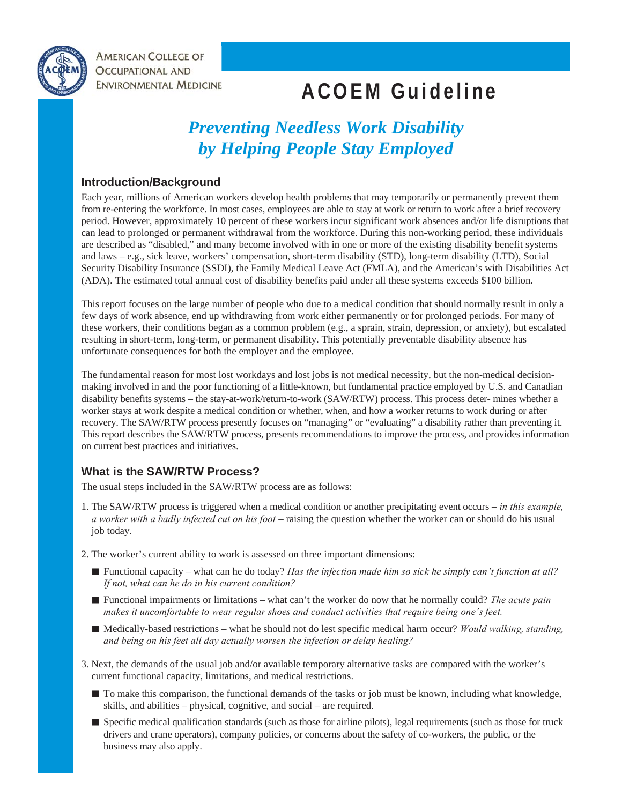

**AMERICAN COLLEGE OF OCCUPATIONAL AND ENVIRONMENTAL MEDICINE** 

# **ACOEM Guideline**

## *Preventing Needless Work Disability by Helping People Stay Employed*

## **Introduction/Background**

Each year, millions of American workers develop health problems that may temporarily or permanently prevent them from re-entering the workforce. In most cases, employees are able to stay at work or return to work after a brief recovery period. However, approximately 10 percent of these workers incur significant work absences and/or life disruptions that can lead to prolonged or permanent withdrawal from the workforce. During this non-working period, these individuals are described as "disabled," and many become involved with in one or more of the existing disability benefit systems and laws – e.g., sick leave, workers' compensation, short-term disability (STD), long-term disability (LTD), Social Security Disability Insurance (SSDI), the Family Medical Leave Act (FMLA), and the American's with Disabilities Act (ADA). The estimated total annual cost of disability benefits paid under all these systems exceeds \$100 billion.

This report focuses on the large number of people who due to a medical condition that should normally result in only a few days of work absence, end up withdrawing from work either permanently or for prolonged periods. For many of these workers, their conditions began as a common problem (e.g., a sprain, strain, depression, or anxiety), but escalated resulting in short-term, long-term, or permanent disability. This potentially preventable disability absence has unfortunate consequences for both the employer and the employee.

The fundamental reason for most lost workdays and lost jobs is not medical necessity, but the non-medical decisionmaking involved in and the poor functioning of a little-known, but fundamental practice employed by U.S. and Canadian disability benefits systems – the stay-at-work/return-to-work (SAW/RTW) process. This process deter- mines whether a worker stays at work despite a medical condition or whether, when, and how a worker returns to work during or after recovery. The SAW/RTW process presently focuses on "managing" or "evaluating" a disability rather than preventing it. This report describes the SAW/RTW process, presents recommendations to improve the process, and provides information on current best practices and initiatives.

## **What is the SAW/RTW Process?**

The usual steps included in the SAW/RTW process are as follows:

- 1. The SAW/RTW process is triggered when a medical condition or another precipitating event occurs *in this example, a worker with a badly infected cut on his foot* – raising the question whether the worker can or should do his usual job today.
- 2. The worker's current ability to work is assessed on three important dimensions:
	- Functional capacity what can he do today? *Has the infection made him so sick he simply can't function at all? If not, what can he do in his current condition?*
	- Functional impairments or limitations what can't the worker do now that he normally could? *The acute pain makes it uncomfortable to wear regular shoes and conduct activities that require being one's feet.*
	- Medically-based restrictions what he should not do lest specific medical harm occur? *Would walking, standing, and being on his feet all day actually worsen the infection or delay healing?*
- 3. Next, the demands of the usual job and/or available temporary alternative tasks are compared with the worker's current functional capacity, limitations, and medical restrictions.
	- To make this comparison, the functional demands of the tasks or job must be known, including what knowledge, skills, and abilities – physical, cognitive, and social – are required.
	- Specific medical qualification standards (such as those for airline pilots), legal requirements (such as those for truck drivers and crane operators), company policies, or concerns about the safety of co-workers, the public, or the business may also apply.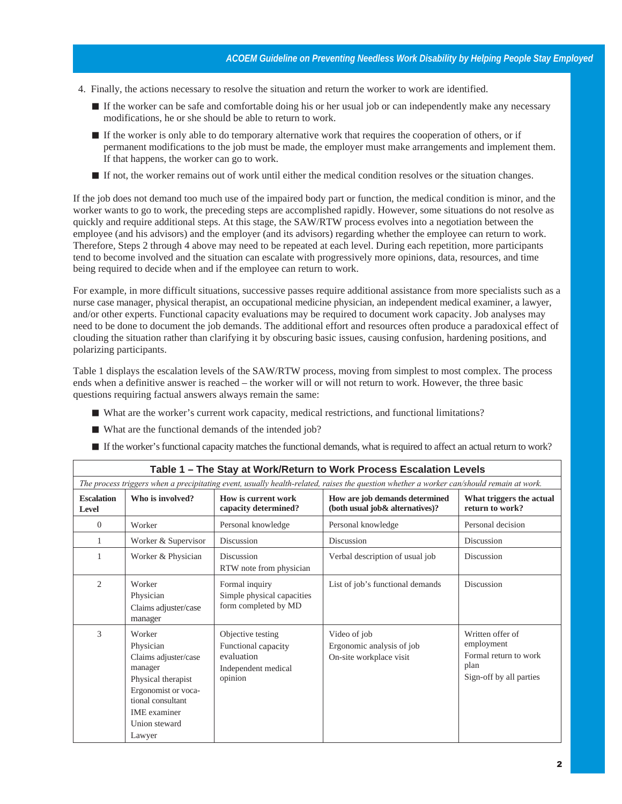- 4. Finally, the actions necessary to resolve the situation and return the worker to work are identified.
	- If the worker can be safe and comfortable doing his or her usual job or can independently make any necessary modifications, he or she should be able to return to work.
	- If the worker is only able to do temporary alternative work that requires the cooperation of others, or if permanent modifications to the job must be made, the employer must make arrangements and implement them. If that happens, the worker can go to work.
	- If not, the worker remains out of work until either the medical condition resolves or the situation changes.

If the job does not demand too much use of the impaired body part or function, the medical condition is minor, and the worker wants to go to work, the preceding steps are accomplished rapidly. However, some situations do not resolve as quickly and require additional steps. At this stage, the SAW/RTW process evolves into a negotiation between the employee (and his advisors) and the employer (and its advisors) regarding whether the employee can return to work. Therefore, Steps 2 through 4 above may need to be repeated at each level. During each repetition, more participants tend to become involved and the situation can escalate with progressively more opinions, data, resources, and time being required to decide when and if the employee can return to work.

For example, in more difficult situations, successive passes require additional assistance from more specialists such as a nurse case manager, physical therapist, an occupational medicine physician, an independent medical examiner, a lawyer, and/or other experts. Functional capacity evaluations may be required to document work capacity. Job analyses may need to be done to document the job demands. The additional effort and resources often produce a paradoxical effect of clouding the situation rather than clarifying it by obscuring basic issues, causing confusion, hardening positions, and polarizing participants.

Table 1 displays the escalation levels of the SAW/RTW process, moving from simplest to most complex. The process ends when a definitive answer is reached – the worker will or will not return to work. However, the three basic questions requiring factual answers always remain the same:

- What are the worker's current work capacity, medical restrictions, and functional limitations?
- What are the functional demands of the intended job?
- If the worker's functional capacity matches the functional demands, what is required to affect an actual return to work?

| Table 1 - The Stay at Work/Return to Work Process Escalation Levels                                                                      |                                                                                                                                                                            |                                                                                          |                                                                       |                                                                                            |  |
|------------------------------------------------------------------------------------------------------------------------------------------|----------------------------------------------------------------------------------------------------------------------------------------------------------------------------|------------------------------------------------------------------------------------------|-----------------------------------------------------------------------|--------------------------------------------------------------------------------------------|--|
| The process triggers when a precipitating event, usually health-related, raises the question whether a worker can/should remain at work. |                                                                                                                                                                            |                                                                                          |                                                                       |                                                                                            |  |
| <b>Escalation</b><br>Level                                                                                                               | Who is involved?                                                                                                                                                           | How is current work<br>capacity determined?                                              | How are job demands determined<br>(both usual job $\&$ alternatives)? | What triggers the actual<br>return to work?                                                |  |
| $\overline{0}$                                                                                                                           | Worker                                                                                                                                                                     | Personal knowledge                                                                       | Personal knowledge                                                    | Personal decision                                                                          |  |
| 1                                                                                                                                        | Worker & Supervisor                                                                                                                                                        | <b>Discussion</b>                                                                        | Discussion                                                            | <b>Discussion</b>                                                                          |  |
|                                                                                                                                          | Worker & Physician                                                                                                                                                         | Discussion<br>RTW note from physician                                                    | Verbal description of usual job                                       | Discussion                                                                                 |  |
| $\overline{2}$                                                                                                                           | Worker<br>Physician<br>Claims adjuster/case<br>manager                                                                                                                     | Formal inquiry<br>Simple physical capacities<br>form completed by MD                     | List of job's functional demands                                      | <b>Discussion</b>                                                                          |  |
| 3                                                                                                                                        | Worker<br>Physician<br>Claims adjuster/case<br>manager<br>Physical therapist<br>Ergonomist or voca-<br>tional consultant<br><b>IME</b> examiner<br>Union steward<br>Lawyer | Objective testing<br>Functional capacity<br>evaluation<br>Independent medical<br>opinion | Video of job<br>Ergonomic analysis of job<br>On-site workplace visit  | Written offer of<br>employment<br>Formal return to work<br>plan<br>Sign-off by all parties |  |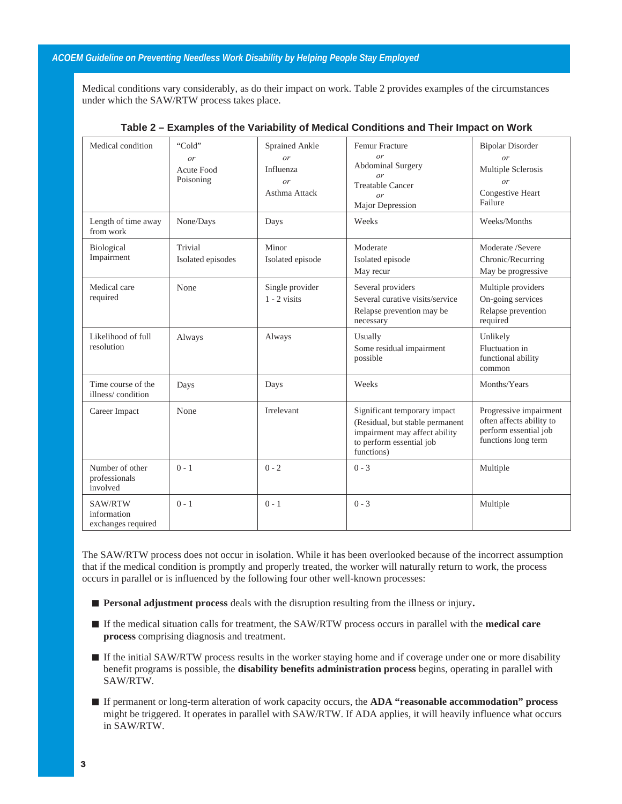Medical conditions vary considerably, as do their impact on work. Table 2 provides examples of the circumstances under which the SAW/RTW process takes place.

| Medical condition                            | "Cold"<br>or<br>Acute Food<br>Poisoning | Sprained Ankle<br>or<br>Influenza<br>or<br>Asthma Attack | <b>Femur Fracture</b><br>or<br>Abdominal Surgery<br>$\overline{or}$<br><b>Treatable Cancer</b><br>$\alpha r$<br>Major Depression           | <b>Bipolar Disorder</b><br>or<br>Multiple Sclerosis<br>or<br>Congestive Heart<br>Failure           |
|----------------------------------------------|-----------------------------------------|----------------------------------------------------------|--------------------------------------------------------------------------------------------------------------------------------------------|----------------------------------------------------------------------------------------------------|
| Length of time away<br>from work             | None/Days                               | Days                                                     | Weeks                                                                                                                                      | Weeks/Months                                                                                       |
| Biological<br>Impairment                     | Trivial<br>Isolated episodes            | Minor<br>Isolated episode                                | Moderate<br>Isolated episode<br>May recur                                                                                                  | Moderate /Severe<br>Chronic/Recurring<br>May be progressive                                        |
| Medical care<br>required                     | None                                    | Single provider<br>$1 - 2$ visits                        | Several providers<br>Several curative visits/service<br>Relapse prevention may be<br>necessary                                             | Multiple providers<br>On-going services<br>Relapse prevention<br>required                          |
| Likelihood of full<br>resolution             | Always                                  | Always                                                   | Usually<br>Some residual impairment<br>possible                                                                                            | Unlikely<br>Fluctuation in<br>functional ability<br>common                                         |
| Time course of the<br>illness/condition      | Days                                    | Days                                                     | Weeks                                                                                                                                      | Months/Years                                                                                       |
| Career Impact                                | None                                    | Irrelevant                                               | Significant temporary impact<br>(Residual, but stable permanent<br>impairment may affect ability<br>to perform essential job<br>functions) | Progressive impairment<br>often affects ability to<br>perform essential job<br>functions long term |
| Number of other<br>professionals<br>involved | $0 - 1$                                 | $0 - 2$                                                  | $0 - 3$                                                                                                                                    | Multiple                                                                                           |
| SAW/RTW<br>information<br>exchanges required | $0 - 1$                                 | $0 - 1$                                                  | $0 - 3$                                                                                                                                    | Multiple                                                                                           |

**Table 2 – Examples of the Variability of Medical Conditions and Their Impact on Work**

The SAW/RTW process does not occur in isolation. While it has been overlooked because of the incorrect assumption that if the medical condition is promptly and properly treated, the worker will naturally return to work, the process occurs in parallel or is influenced by the following four other well-known processes:

- **Personal adjustment process** deals with the disruption resulting from the illness or injury.
- If the medical situation calls for treatment, the SAW/RTW process occurs in parallel with the **medical care process** comprising diagnosis and treatment.
- If the initial SAW/RTW process results in the worker staying home and if coverage under one or more disability benefit programs is possible, the **disability benefits administration process** begins, operating in parallel with SAW/RTW.
- If permanent or long-term alteration of work capacity occurs, the **ADA "reasonable accommodation" process** might be triggered. It operates in parallel with SAW/RTW. If ADA applies, it will heavily influence what occurs in SAW/RTW.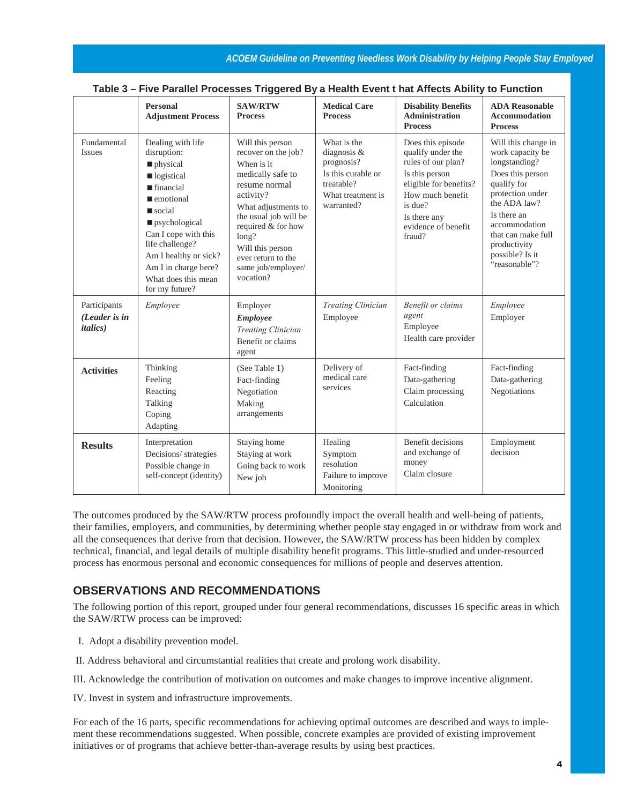|                                                   | <b>Personal</b><br><b>Adjustment Process</b>                                                                                                                                                                                                                                                      | <b>SAW/RTW</b><br><b>Process</b>                                                                                                                                                                                                                                     | <b>Medical Care</b><br><b>Process</b>                                                                              | <b>Disability Benefits</b><br><b>Administration</b><br><b>Process</b>                                                                                                                    | <b>ADA Reasonable</b><br><b>Accommodation</b><br><b>Process</b>                                                                                                                                                                           |
|---------------------------------------------------|---------------------------------------------------------------------------------------------------------------------------------------------------------------------------------------------------------------------------------------------------------------------------------------------------|----------------------------------------------------------------------------------------------------------------------------------------------------------------------------------------------------------------------------------------------------------------------|--------------------------------------------------------------------------------------------------------------------|------------------------------------------------------------------------------------------------------------------------------------------------------------------------------------------|-------------------------------------------------------------------------------------------------------------------------------------------------------------------------------------------------------------------------------------------|
| Fundamental<br><b>Issues</b>                      | Dealing with life<br>disruption:<br>physical<br>logistical<br>$\blacksquare$ financial<br>$\blacksquare$ emotional<br>$\blacksquare$ social<br>psychological<br>Can I cope with this<br>life challenge?<br>Am I healthy or sick?<br>Am I in charge here?<br>What does this mean<br>for my future? | Will this person<br>recover on the job?<br>When is it<br>medically safe to<br>resume normal<br>activity?<br>What adjustments to<br>the usual job will be<br>required & for how<br>long?<br>Will this person<br>ever return to the<br>same job/employer/<br>vocation? | What is the<br>diagnosis $\&$<br>prognosis?<br>Is this curable or<br>treatable?<br>What treatment is<br>warranted? | Does this episode<br>qualify under the<br>rules of our plan?<br>Is this person<br>eligible for benefits?<br>How much benefit<br>is due?<br>Is there any<br>evidence of benefit<br>fraud? | Will this change in<br>work capacity be<br>longstanding?<br>Does this person<br>qualify for<br>protection under<br>the ADA law?<br>Is there an<br>accommodation<br>that can make full<br>productivity<br>possible? Is it<br>"reasonable"? |
| Participants<br>(Leader is in<br><i>italics</i> ) | Employee                                                                                                                                                                                                                                                                                          | Employer<br><b>Employee</b><br><b>Treating Clinician</b><br>Benefit or claims<br>agent                                                                                                                                                                               | <b>Treating Clinician</b><br>Employee                                                                              | Benefit or claims<br>agent<br>Employee<br>Health care provider                                                                                                                           | Employee<br>Employer                                                                                                                                                                                                                      |
| <b>Activities</b>                                 | Thinking<br>Feeling<br>Reacting<br>Talking<br>Coping<br>Adapting                                                                                                                                                                                                                                  | (See Table 1)<br>Fact-finding<br>Negotiation<br>Making<br>arrangements                                                                                                                                                                                               | Delivery of<br>medical care<br>services                                                                            | Fact-finding<br>Data-gathering<br>Claim processing<br>Calculation                                                                                                                        | Fact-finding<br>Data-gathering<br>Negotiations                                                                                                                                                                                            |
| <b>Results</b>                                    | Interpretation<br>Decisions/ strategies<br>Possible change in<br>self-concept (identity)                                                                                                                                                                                                          | Staying home<br>Staying at work<br>Going back to work<br>New job                                                                                                                                                                                                     | Healing<br>Symptom<br>resolution<br>Failure to improve<br>Monitoring                                               | Benefit decisions<br>and exchange of<br>money<br>Claim closure                                                                                                                           | Employment<br>decision                                                                                                                                                                                                                    |

## **Table 3 – Five Parallel Processes Triggered By a Health Event t hat Affects Ability to Function**

The outcomes produced by the SAW/RTW process profoundly impact the overall health and well-being of patients, their families, employers, and communities, by determining whether people stay engaged in or withdraw from work and all the consequences that derive from that decision. However, the SAW/RTW process has been hidden by complex technical, financial, and legal details of multiple disability benefit programs. This little-studied and under-resourced process has enormous personal and economic consequences for millions of people and deserves attention.

## **OBSERVATIONS AND RECOMMENDATIONS**

The following portion of this report, grouped under four general recommendations, discusses 16 specific areas in which the SAW/RTW process can be improved:

- I. Adopt a disability prevention model.
- II. Address behavioral and circumstantial realities that create and prolong work disability.
- III. Acknowledge the contribution of motivation on outcomes and make changes to improve incentive alignment.

IV. Invest in system and infrastructure improvements.

For each of the 16 parts, specific recommendations for achieving optimal outcomes are described and ways to implement these recommendations suggested. When possible, concrete examples are provided of existing improvement initiatives or of programs that achieve better-than-average results by using best practices.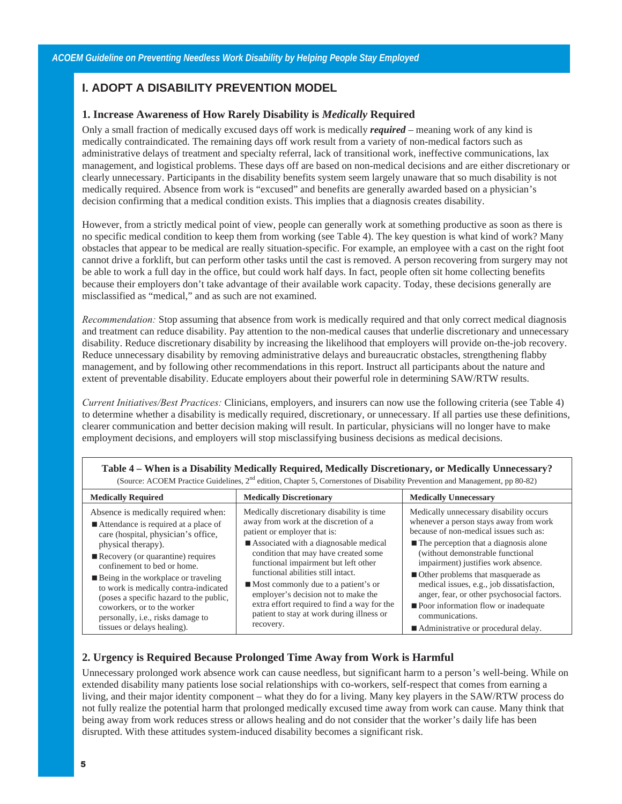## **I. ADOPT A DISABILITY PREVENTION MODEL**

## **1. Increase Awareness of How Rarely Disability is** *Medically* **Required**

Only a small fraction of medically excused days off work is medically *required* – meaning work of any kind is medically contraindicated. The remaining days off work result from a variety of non-medical factors such as administrative delays of treatment and specialty referral, lack of transitional work, ineffective communications, lax management, and logistical problems. These days off are based on non-medical decisions and are either discretionary or clearly unnecessary. Participants in the disability benefits system seem largely unaware that so much disability is not medically required. Absence from work is "excused" and benefits are generally awarded based on a physician's decision confirming that a medical condition exists. This implies that a diagnosis creates disability.

However, from a strictly medical point of view, people can generally work at something productive as soon as there is no specific medical condition to keep them from working (see Table 4). The key question is what kind of work? Many obstacles that appear to be medical are really situation-specific. For example, an employee with a cast on the right foot cannot drive a forklift, but can perform other tasks until the cast is removed. A person recovering from surgery may not be able to work a full day in the office, but could work half days. In fact, people often sit home collecting benefits because their employers don't take advantage of their available work capacity. Today, these decisions generally are misclassified as "medical," and as such are not examined.

*Recommendation:* Stop assuming that absence from work is medically required and that only correct medical diagnosis and treatment can reduce disability. Pay attention to the non-medical causes that underlie discretionary and unnecessary disability. Reduce discretionary disability by increasing the likelihood that employers will provide on-the-job recovery. Reduce unnecessary disability by removing administrative delays and bureaucratic obstacles, strengthening flabby management, and by following other recommendations in this report. Instruct all participants about the nature and extent of preventable disability. Educate employers about their powerful role in determining SAW/RTW results.

*Current Initiatives/Best Practices:* Clinicians, employers, and insurers can now use the following criteria (see Table 4) to determine whether a disability is medically required, discretionary, or unnecessary. If all parties use these definitions, clearer communication and better decision making will result. In particular, physicians will no longer have to make employment decisions, and employers will stop misclassifying business decisions as medical decisions.

| <b>Medically Required</b>                                                                                                                                                                                                          | <b>Medically Discretionary</b>                                                                                                                                                                                                                                                           | <b>Medically Unnecessary</b>                                                                                                                                                                                                                                                                               |
|------------------------------------------------------------------------------------------------------------------------------------------------------------------------------------------------------------------------------------|------------------------------------------------------------------------------------------------------------------------------------------------------------------------------------------------------------------------------------------------------------------------------------------|------------------------------------------------------------------------------------------------------------------------------------------------------------------------------------------------------------------------------------------------------------------------------------------------------------|
| Absence is medically required when:<br>■ Attendance is required at a place of<br>care (hospital, physician's office,                                                                                                               | Medically discretionary disability is time<br>away from work at the discretion of a<br>patient or employer that is:                                                                                                                                                                      | Medically unnecessary disability occurs<br>whenever a person stays away from work<br>because of non-medical issues such as:                                                                                                                                                                                |
| physical therapy).<br>$\blacksquare$ Recovery (or quarantine) requires<br>confinement to bed or home.<br>■ Being in the workplace or traveling<br>to work is medically contra-indicated<br>(poses a specific hazard to the public, | Associated with a diagnosable medical<br>condition that may have created some<br>functional impairment but left other<br>functional abilities still intact.<br>Most commonly due to a patient's or<br>employer's decision not to make the<br>extra effort required to find a way for the | $\blacksquare$ The perception that a diagnosis alone<br>(without demonstrable functional<br>impairment) justifies work absence.<br>Other problems that masquerade as<br>medical issues, e.g., job dissatisfaction,<br>anger, fear, or other psychosocial factors.<br>■ Poor information flow or inadequate |
| coworkers, or to the worker<br>personally, <i>i.e.</i> , risks damage to<br>tissues or delays healing).                                                                                                                            | patient to stay at work during illness or<br>recovery.                                                                                                                                                                                                                                   | communications.<br>■ Administrative or procedural delay.                                                                                                                                                                                                                                                   |

**Table 4 – When is a Disability Medically Required, Medically Discretionary, or Medically Unnecessary?** (Source: ACOEM Practice Guidelines, 2nd edition, Chapter 5, Cornerstones of Disability Prevention and Management, pp 80-82)

## **2. Urgency is Required Because Prolonged Time Away from Work is Harmful**

Unnecessary prolonged work absence work can cause needless, but significant harm to a person's well-being. While on extended disability many patients lose social relationships with co-workers, self-respect that comes from earning a living, and their major identity component – what they do for a living. Many key players in the SAW/RTW process do not fully realize the potential harm that prolonged medically excused time away from work can cause. Many think that being away from work reduces stress or allows healing and do not consider that the worker's daily life has been disrupted. With these attitudes system-induced disability becomes a significant risk.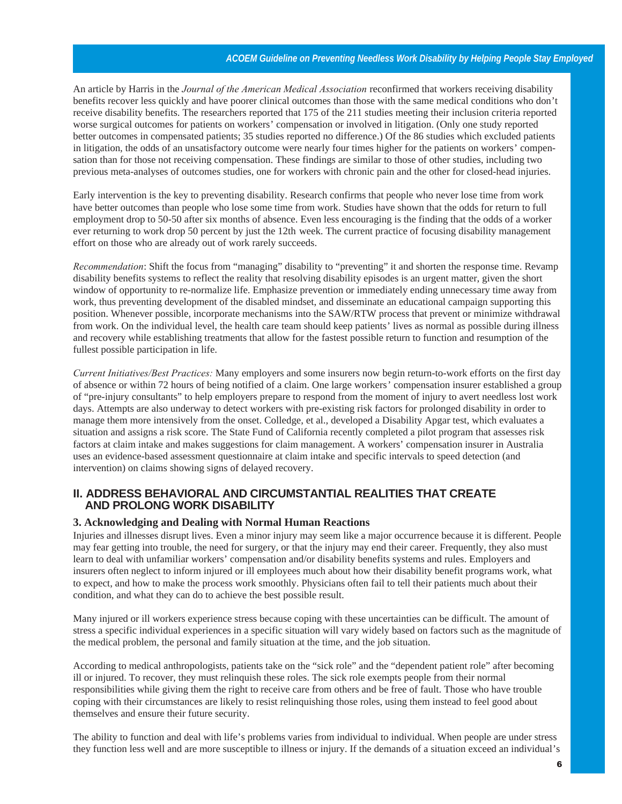An article by Harris in the *Journal of the American Medical Association* reconfirmed that workers receiving disability benefits recover less quickly and have poorer clinical outcomes than those with the same medical conditions who don't receive disability benefits. The researchers reported that 175 of the 211 studies meeting their inclusion criteria reported worse surgical outcomes for patients on workers' compensation or involved in litigation. (Only one study reported better outcomes in compensated patients; 35 studies reported no difference.) Of the 86 studies which excluded patients in litigation, the odds of an unsatisfactory outcome were nearly four times higher for the patients on workers' compensation than for those not receiving compensation. These findings are similar to those of other studies, including two previous meta-analyses of outcomes studies, one for workers with chronic pain and the other for closed-head injuries.

Early intervention is the key to preventing disability. Research confirms that people who never lose time from work have better outcomes than people who lose some time from work. Studies have shown that the odds for return to full employment drop to 50-50 after six months of absence. Even less encouraging is the finding that the odds of a worker ever returning to work drop 50 percent by just the 12th week. The current practice of focusing disability management effort on those who are already out of work rarely succeeds.

*Recommendation*: Shift the focus from "managing" disability to "preventing" it and shorten the response time. Revamp disability benefits systems to reflect the reality that resolving disability episodes is an urgent matter, given the short window of opportunity to re-normalize life. Emphasize prevention or immediately ending unnecessary time away from work, thus preventing development of the disabled mindset, and disseminate an educational campaign supporting this position. Whenever possible, incorporate mechanisms into the SAW/RTW process that prevent or minimize withdrawal from work. On the individual level, the health care team should keep patients' lives as normal as possible during illness and recovery while establishing treatments that allow for the fastest possible return to function and resumption of the fullest possible participation in life.

*Current Initiatives/Best Practices:* Many employers and some insurers now begin return-to-work efforts on the first day of absence or within 72 hours of being notified of a claim. One large workers' compensation insurer established a group of "pre-injury consultants" to help employers prepare to respond from the moment of injury to avert needless lost work days. Attempts are also underway to detect workers with pre-existing risk factors for prolonged disability in order to manage them more intensively from the onset. Colledge, et al., developed a Disability Apgar test, which evaluates a situation and assigns a risk score. The State Fund of California recently completed a pilot program that assesses risk factors at claim intake and makes suggestions for claim management. A workers' compensation insurer in Australia uses an evidence-based assessment questionnaire at claim intake and specific intervals to speed detection (and intervention) on claims showing signs of delayed recovery.

## **II. ADDRESS BEHAVIORAL AND CIRCUMSTANTIAL REALITIES THAT CREATE AND PROLONG WORK DISABILITY**

## **3. Acknowledging and Dealing with Normal Human Reactions**

Injuries and illnesses disrupt lives. Even a minor injury may seem like a major occurrence because it is different. People may fear getting into trouble, the need for surgery, or that the injury may end their career. Frequently, they also must learn to deal with unfamiliar workers' compensation and/or disability benefits systems and rules. Employers and insurers often neglect to inform injured or ill employees much about how their disability benefit programs work, what to expect, and how to make the process work smoothly. Physicians often fail to tell their patients much about their condition, and what they can do to achieve the best possible result.

Many injured or ill workers experience stress because coping with these uncertainties can be difficult. The amount of stress a specific individual experiences in a specific situation will vary widely based on factors such as the magnitude of the medical problem, the personal and family situation at the time, and the job situation.

According to medical anthropologists, patients take on the "sick role" and the "dependent patient role" after becoming ill or injured. To recover, they must relinquish these roles. The sick role exempts people from their normal responsibilities while giving them the right to receive care from others and be free of fault. Those who have trouble coping with their circumstances are likely to resist relinquishing those roles, using them instead to feel good about themselves and ensure their future security.

The ability to function and deal with life's problems varies from individual to individual. When people are under stress they function less well and are more susceptible to illness or injury. If the demands of a situation exceed an individual's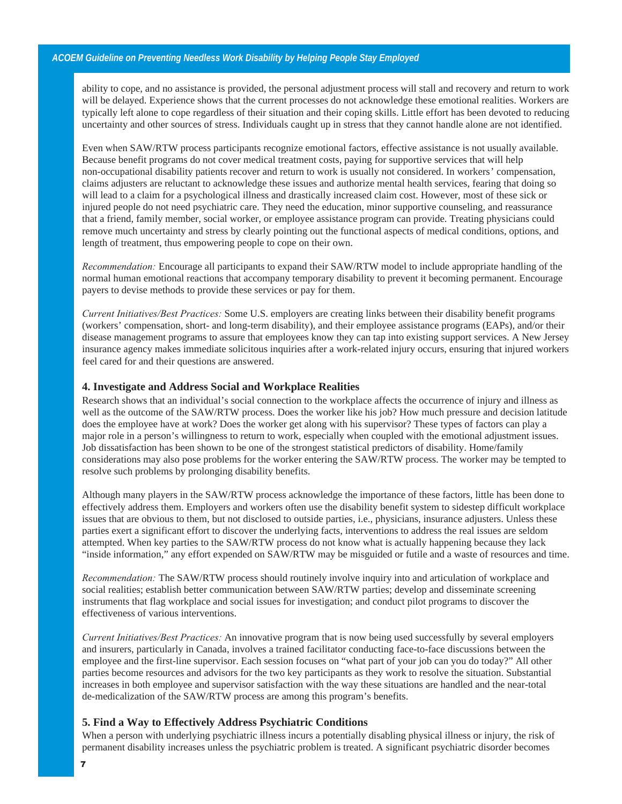ability to cope, and no assistance is provided, the personal adjustment process will stall and recovery and return to work will be delayed. Experience shows that the current processes do not acknowledge these emotional realities. Workers are typically left alone to cope regardless of their situation and their coping skills. Little effort has been devoted to reducing uncertainty and other sources of stress. Individuals caught up in stress that they cannot handle alone are not identified.

Even when SAW/RTW process participants recognize emotional factors, effective assistance is not usually available. Because benefit programs do not cover medical treatment costs, paying for supportive services that will help non-occupational disability patients recover and return to work is usually not considered. In workers' compensation, claims adjusters are reluctant to acknowledge these issues and authorize mental health services, fearing that doing so will lead to a claim for a psychological illness and drastically increased claim cost. However, most of these sick or injured people do not need psychiatric care. They need the education, minor supportive counseling, and reassurance that a friend, family member, social worker, or employee assistance program can provide. Treating physicians could remove much uncertainty and stress by clearly pointing out the functional aspects of medical conditions, options, and length of treatment, thus empowering people to cope on their own.

*Recommendation:* Encourage all participants to expand their SAW/RTW model to include appropriate handling of the normal human emotional reactions that accompany temporary disability to prevent it becoming permanent. Encourage payers to devise methods to provide these services or pay for them.

*Current Initiatives/Best Practices:* Some U.S. employers are creating links between their disability benefit programs (workers' compensation, short- and long-term disability), and their employee assistance programs (EAPs), and/or their disease management programs to assure that employees know they can tap into existing support services. A New Jersey insurance agency makes immediate solicitous inquiries after a work-related injury occurs, ensuring that injured workers feel cared for and their questions are answered.

#### **4. Investigate and Address Social and Workplace Realities**

Research shows that an individual's social connection to the workplace affects the occurrence of injury and illness as well as the outcome of the SAW/RTW process. Does the worker like his job? How much pressure and decision latitude does the employee have at work? Does the worker get along with his supervisor? These types of factors can play a major role in a person's willingness to return to work, especially when coupled with the emotional adjustment issues. Job dissatisfaction has been shown to be one of the strongest statistical predictors of disability. Home/family considerations may also pose problems for the worker entering the SAW/RTW process. The worker may be tempted to resolve such problems by prolonging disability benefits.

Although many players in the SAW/RTW process acknowledge the importance of these factors, little has been done to effectively address them. Employers and workers often use the disability benefit system to sidestep difficult workplace issues that are obvious to them, but not disclosed to outside parties, i.e., physicians, insurance adjusters. Unless these parties exert a significant effort to discover the underlying facts, interventions to address the real issues are seldom attempted. When key parties to the SAW/RTW process do not know what is actually happening because they lack "inside information," any effort expended on SAW/RTW may be misguided or futile and a waste of resources and time.

*Recommendation:* The SAW/RTW process should routinely involve inquiry into and articulation of workplace and social realities; establish better communication between SAW/RTW parties; develop and disseminate screening instruments that flag workplace and social issues for investigation; and conduct pilot programs to discover the effectiveness of various interventions.

*Current Initiatives/Best Practices:* An innovative program that is now being used successfully by several employers and insurers, particularly in Canada, involves a trained facilitator conducting face-to-face discussions between the employee and the first-line supervisor. Each session focuses on "what part of your job can you do today?" All other parties become resources and advisors for the two key participants as they work to resolve the situation. Substantial increases in both employee and supervisor satisfaction with the way these situations are handled and the near-total de-medicalization of the SAW/RTW process are among this program's benefits.

#### **5. Find a Way to Effectively Address Psychiatric Conditions**

When a person with underlying psychiatric illness incurs a potentially disabling physical illness or injury, the risk of permanent disability increases unless the psychiatric problem is treated. A significant psychiatric disorder becomes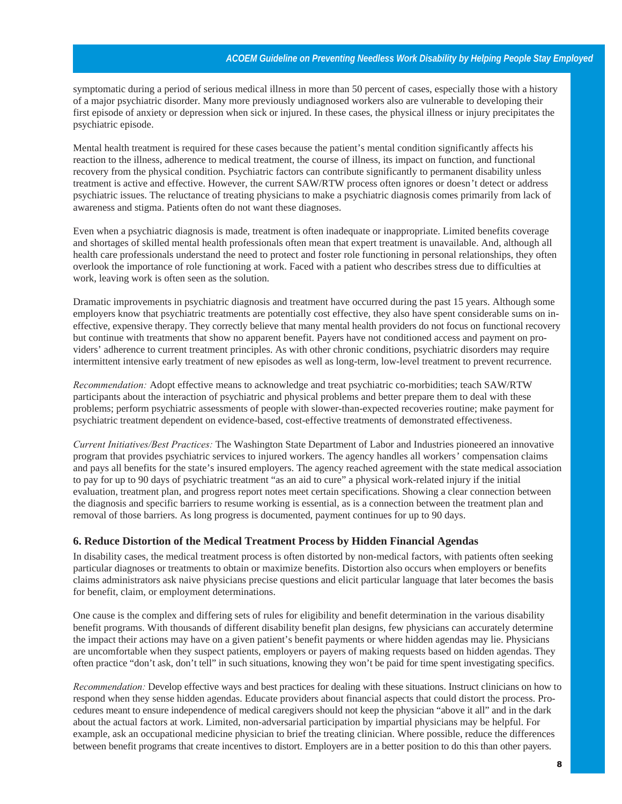symptomatic during a period of serious medical illness in more than 50 percent of cases, especially those with a history of a major psychiatric disorder. Many more previously undiagnosed workers also are vulnerable to developing their first episode of anxiety or depression when sick or injured. In these cases, the physical illness or injury precipitates the psychiatric episode.

Mental health treatment is required for these cases because the patient's mental condition significantly affects his reaction to the illness, adherence to medical treatment, the course of illness, its impact on function, and functional recovery from the physical condition. Psychiatric factors can contribute significantly to permanent disability unless treatment is active and effective. However, the current SAW/RTW process often ignores or doesn't detect or address psychiatric issues. The reluctance of treating physicians to make a psychiatric diagnosis comes primarily from lack of awareness and stigma. Patients often do not want these diagnoses.

Even when a psychiatric diagnosis is made, treatment is often inadequate or inappropriate. Limited benefits coverage and shortages of skilled mental health professionals often mean that expert treatment is unavailable. And, although all health care professionals understand the need to protect and foster role functioning in personal relationships, they often overlook the importance of role functioning at work. Faced with a patient who describes stress due to difficulties at work, leaving work is often seen as the solution.

Dramatic improvements in psychiatric diagnosis and treatment have occurred during the past 15 years. Although some employers know that psychiatric treatments are potentially cost effective, they also have spent considerable sums on ineffective, expensive therapy. They correctly believe that many mental health providers do not focus on functional recovery but continue with treatments that show no apparent benefit. Payers have not conditioned access and payment on providers' adherence to current treatment principles. As with other chronic conditions, psychiatric disorders may require intermittent intensive early treatment of new episodes as well as long-term, low-level treatment to prevent recurrence.

*Recommendation:* Adopt effective means to acknowledge and treat psychiatric co-morbidities; teach SAW/RTW participants about the interaction of psychiatric and physical problems and better prepare them to deal with these problems; perform psychiatric assessments of people with slower-than-expected recoveries routine; make payment for psychiatric treatment dependent on evidence-based, cost-effective treatments of demonstrated effectiveness.

*Current Initiatives/Best Practices:* The Washington State Department of Labor and Industries pioneered an innovative program that provides psychiatric services to injured workers. The agency handles all workers' compensation claims and pays all benefits for the state's insured employers. The agency reached agreement with the state medical association to pay for up to 90 days of psychiatric treatment "as an aid to cure" a physical work-related injury if the initial evaluation, treatment plan, and progress report notes meet certain specifications. Showing a clear connection between the diagnosis and specific barriers to resume working is essential, as is a connection between the treatment plan and removal of those barriers. As long progress is documented, payment continues for up to 90 days.

## **6. Reduce Distortion of the Medical Treatment Process by Hidden Financial Agendas**

In disability cases, the medical treatment process is often distorted by non-medical factors, with patients often seeking particular diagnoses or treatments to obtain or maximize benefits. Distortion also occurs when employers or benefits claims administrators ask naive physicians precise questions and elicit particular language that later becomes the basis for benefit, claim, or employment determinations.

One cause is the complex and differing sets of rules for eligibility and benefit determination in the various disability benefit programs. With thousands of different disability benefit plan designs, few physicians can accurately determine the impact their actions may have on a given patient's benefit payments or where hidden agendas may lie. Physicians are uncomfortable when they suspect patients, employers or payers of making requests based on hidden agendas. They often practice "don't ask, don't tell" in such situations, knowing they won't be paid for time spent investigating specifics.

*Recommendation:* Develop effective ways and best practices for dealing with these situations. Instruct clinicians on how to respond when they sense hidden agendas. Educate providers about financial aspects that could distort the process. Procedures meant to ensure independence of medical caregivers should not keep the physician "above it all" and in the dark about the actual factors at work. Limited, non-adversarial participation by impartial physicians may be helpful. For example, ask an occupational medicine physician to brief the treating clinician. Where possible, reduce the differences between benefit programs that create incentives to distort. Employers are in a better position to do this than other payers.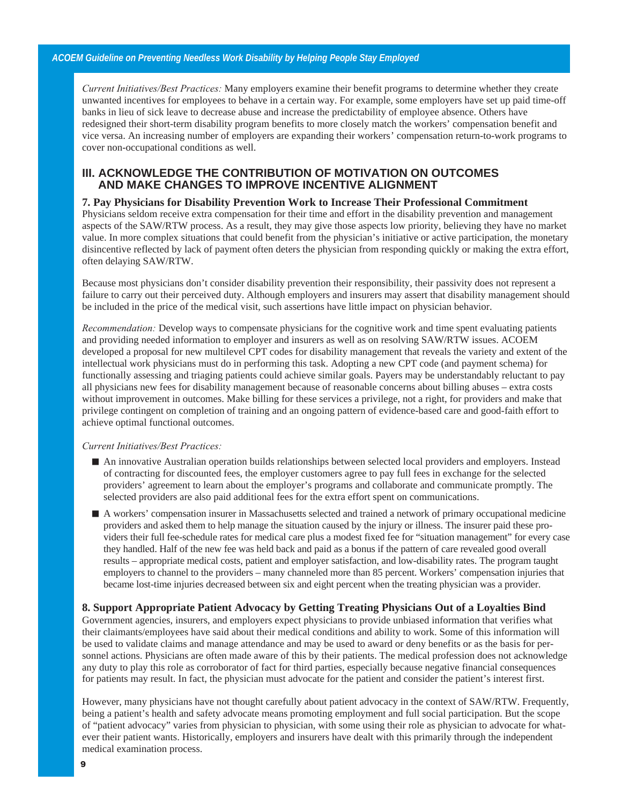*Current Initiatives/Best Practices:* Many employers examine their benefit programs to determine whether they create unwanted incentives for employees to behave in a certain way. For example, some employers have set up paid time-off banks in lieu of sick leave to decrease abuse and increase the predictability of employee absence. Others have redesigned their short-term disability program benefits to more closely match the workers' compensation benefit and vice versa. An increasing number of employers are expanding their workers' compensation return-to-work programs to cover non-occupational conditions as well.

## **III. ACKNOWLEDGE THE CONTRIBUTION OF MOTIVATION ON OUTCOMES AND MAKE CHANGES TO IMPROVE INCENTIVE ALIGNMENT**

## **7. Pay Physicians for Disability Prevention Work to Increase Their Professional Commitment**

Physicians seldom receive extra compensation for their time and effort in the disability prevention and management aspects of the SAW/RTW process. As a result, they may give those aspects low priority, believing they have no market value. In more complex situations that could benefit from the physician's initiative or active participation, the monetary disincentive reflected by lack of payment often deters the physician from responding quickly or making the extra effort, often delaying SAW/RTW.

Because most physicians don't consider disability prevention their responsibility, their passivity does not represent a failure to carry out their perceived duty. Although employers and insurers may assert that disability management should be included in the price of the medical visit, such assertions have little impact on physician behavior.

*Recommendation:* Develop ways to compensate physicians for the cognitive work and time spent evaluating patients and providing needed information to employer and insurers as well as on resolving SAW/RTW issues. ACOEM developed a proposal for new multilevel CPT codes for disability management that reveals the variety and extent of the intellectual work physicians must do in performing this task. Adopting a new CPT code (and payment schema) for functionally assessing and triaging patients could achieve similar goals. Payers may be understandably reluctant to pay all physicians new fees for disability management because of reasonable concerns about billing abuses – extra costs without improvement in outcomes. Make billing for these services a privilege, not a right, for providers and make that privilege contingent on completion of training and an ongoing pattern of evidence-based care and good-faith effort to achieve optimal functional outcomes.

## *Current Initiatives/Best Practices:*

- An innovative Australian operation builds relationships between selected local providers and employers. Instead of contracting for discounted fees, the employer customers agree to pay full fees in exchange for the selected providers' agreement to learn about the employer's programs and collaborate and communicate promptly. The selected providers are also paid additional fees for the extra effort spent on communications.
- A workers' compensation insurer in Massachusetts selected and trained a network of primary occupational medicine providers and asked them to help manage the situation caused by the injury or illness. The insurer paid these providers their full fee-schedule rates for medical care plus a modest fixed fee for "situation management" for every case they handled. Half of the new fee was held back and paid as a bonus if the pattern of care revealed good overall results – appropriate medical costs, patient and employer satisfaction, and low-disability rates. The program taught employers to channel to the providers – many channeled more than 85 percent. Workers' compensation injuries that became lost-time injuries decreased between six and eight percent when the treating physician was a provider.

#### **8. Support Appropriate Patient Advocacy by Getting Treating Physicians Out of a Loyalties Bind**

Government agencies, insurers, and employers expect physicians to provide unbiased information that verifies what their claimants/employees have said about their medical conditions and ability to work. Some of this information will be used to validate claims and manage attendance and may be used to award or deny benefits or as the basis for personnel actions. Physicians are often made aware of this by their patients. The medical profession does not acknowledge any duty to play this role as corroborator of fact for third parties, especially because negative financial consequences for patients may result. In fact, the physician must advocate for the patient and consider the patient's interest first.

However, many physicians have not thought carefully about patient advocacy in the context of SAW/RTW. Frequently, being a patient's health and safety advocate means promoting employment and full social participation. But the scope of "patient advocacy" varies from physician to physician, with some using their role as physician to advocate for whatever their patient wants. Historically, employers and insurers have dealt with this primarily through the independent medical examination process.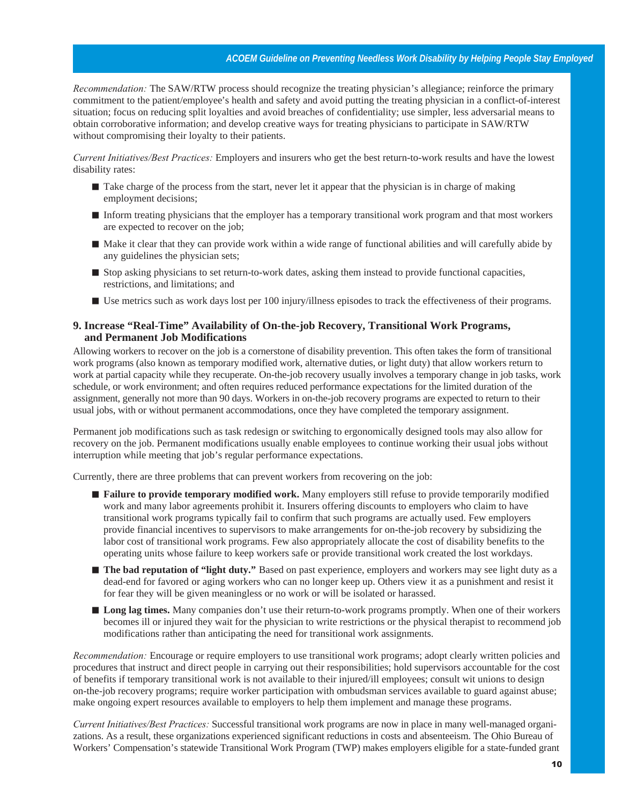*Recommendation:* The SAW/RTW process should recognize the treating physician's allegiance; reinforce the primary commitment to the patient/employee's health and safety and avoid putting the treating physician in a conflict-of-interest situation; focus on reducing split loyalties and avoid breaches of confidentiality; use simpler, less adversarial means to obtain corroborative information; and develop creative ways for treating physicians to participate in SAW/RTW without compromising their loyalty to their patients.

*Current Initiatives/Best Practices:* Employers and insurers who get the best return-to-work results and have the lowest disability rates:

- Take charge of the process from the start, never let it appear that the physician is in charge of making employment decisions;
- Inform treating physicians that the employer has a temporary transitional work program and that most workers are expected to recover on the job;
- Make it clear that they can provide work within a wide range of functional abilities and will carefully abide by any guidelines the physician sets;
- Stop asking physicians to set return-to-work dates, asking them instead to provide functional capacities, restrictions, and limitations; and
- Use metrics such as work days lost per 100 injury/illness episodes to track the effectiveness of their programs.

## **9. Increase "Real-Time" Availability of On-the-job Recovery, Transitional Work Programs, and Permanent Job Modifications**

Allowing workers to recover on the job is a cornerstone of disability prevention. This often takes the form of transitional work programs (also known as temporary modified work, alternative duties, or light duty) that allow workers return to work at partial capacity while they recuperate. On-the-job recovery usually involves a temporary change in job tasks, work schedule, or work environment; and often requires reduced performance expectations for the limited duration of the assignment, generally not more than 90 days. Workers in on-the-job recovery programs are expected to return to their usual jobs, with or without permanent accommodations, once they have completed the temporary assignment.

Permanent job modifications such as task redesign or switching to ergonomically designed tools may also allow for recovery on the job. Permanent modifications usually enable employees to continue working their usual jobs without interruption while meeting that job's regular performance expectations.

Currently, there are three problems that can prevent workers from recovering on the job:

- **Failure to provide temporary modified work.** Many employers still refuse to provide temporarily modified work and many labor agreements prohibit it. Insurers offering discounts to employers who claim to have transitional work programs typically fail to confirm that such programs are actually used. Few employers provide financial incentives to supervisors to make arrangements for on-the-job recovery by subsidizing the labor cost of transitional work programs. Few also appropriately allocate the cost of disability benefits to the operating units whose failure to keep workers safe or provide transitional work created the lost workdays.
- **The bad reputation of "light duty."** Based on past experience, employers and workers may see light duty as a dead-end for favored or aging workers who can no longer keep up. Others view it as a punishment and resist it for fear they will be given meaningless or no work or will be isolated or harassed.
- Long lag times. Many companies don't use their return-to-work programs promptly. When one of their workers becomes ill or injured they wait for the physician to write restrictions or the physical therapist to recommend job modifications rather than anticipating the need for transitional work assignments.

*Recommendation:* Encourage or require employers to use transitional work programs; adopt clearly written policies and procedures that instruct and direct people in carrying out their responsibilities; hold supervisors accountable for the cost of benefits if temporary transitional work is not available to their injured/ill employees; consult wit unions to design on-the-job recovery programs; require worker participation with ombudsman services available to guard against abuse; make ongoing expert resources available to employers to help them implement and manage these programs.

*Current Initiatives/Best Practices:* Successful transitional work programs are now in place in many well-managed organizations. As a result, these organizations experienced significant reductions in costs and absenteeism. The Ohio Bureau of Workers' Compensation's statewide Transitional Work Program (TWP) makes employers eligible for a state-funded grant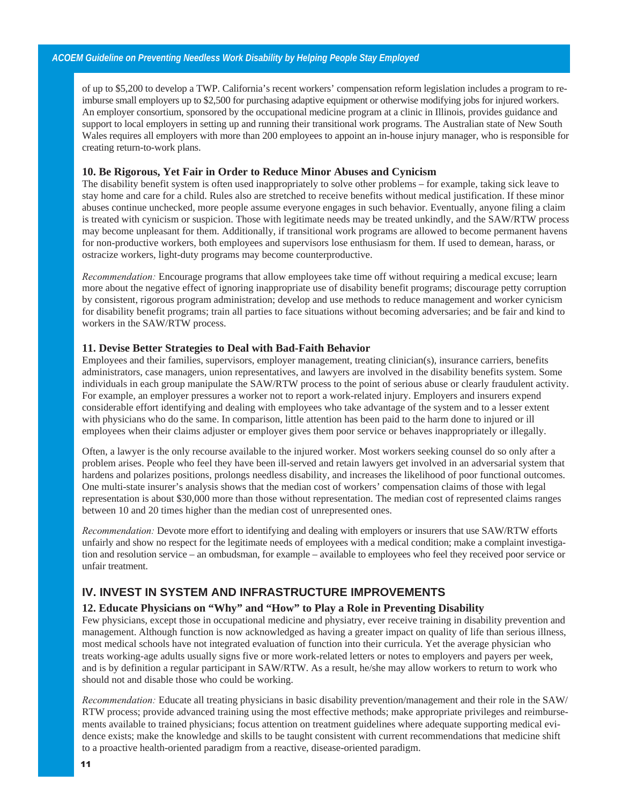of up to \$5,200 to develop a TWP. California's recent workers' compensation reform legislation includes a program to reimburse small employers up to \$2,500 for purchasing adaptive equipment or otherwise modifying jobs for injured workers. An employer consortium, sponsored by the occupational medicine program at a clinic in Illinois, provides guidance and support to local employers in setting up and running their transitional work programs. The Australian state of New South Wales requires all employers with more than 200 employees to appoint an in-house injury manager, who is responsible for creating return-to-work plans.

#### **10. Be Rigorous, Yet Fair in Order to Reduce Minor Abuses and Cynicism**

The disability benefit system is often used inappropriately to solve other problems – for example, taking sick leave to stay home and care for a child. Rules also are stretched to receive benefits without medical justification. If these minor abuses continue unchecked, more people assume everyone engages in such behavior. Eventually, anyone filing a claim is treated with cynicism or suspicion. Those with legitimate needs may be treated unkindly, and the SAW/RTW process may become unpleasant for them. Additionally, if transitional work programs are allowed to become permanent havens for non-productive workers, both employees and supervisors lose enthusiasm for them. If used to demean, harass, or ostracize workers, light-duty programs may become counterproductive.

*Recommendation:* Encourage programs that allow employees take time off without requiring a medical excuse; learn more about the negative effect of ignoring inappropriate use of disability benefit programs; discourage petty corruption by consistent, rigorous program administration; develop and use methods to reduce management and worker cynicism for disability benefit programs; train all parties to face situations without becoming adversaries; and be fair and kind to workers in the SAW/RTW process.

## **11. Devise Better Strategies to Deal with Bad-Faith Behavior**

Employees and their families, supervisors, employer management, treating clinician(s), insurance carriers, benefits administrators, case managers, union representatives, and lawyers are involved in the disability benefits system. Some individuals in each group manipulate the SAW/RTW process to the point of serious abuse or clearly fraudulent activity. For example, an employer pressures a worker not to report a work-related injury. Employers and insurers expend considerable effort identifying and dealing with employees who take advantage of the system and to a lesser extent with physicians who do the same. In comparison, little attention has been paid to the harm done to injured or ill employees when their claims adjuster or employer gives them poor service or behaves inappropriately or illegally.

Often, a lawyer is the only recourse available to the injured worker. Most workers seeking counsel do so only after a problem arises. People who feel they have been ill-served and retain lawyers get involved in an adversarial system that hardens and polarizes positions, prolongs needless disability, and increases the likelihood of poor functional outcomes. One multi-state insurer's analysis shows that the median cost of workers' compensation claims of those with legal representation is about \$30,000 more than those without representation. The median cost of represented claims ranges between 10 and 20 times higher than the median cost of unrepresented ones.

*Recommendation:* Devote more effort to identifying and dealing with employers or insurers that use SAW/RTW efforts unfairly and show no respect for the legitimate needs of employees with a medical condition; make a complaint investigation and resolution service – an ombudsman, for example – available to employees who feel they received poor service or unfair treatment.

## **IV. INVEST IN SYSTEM AND INFRASTRUCTURE IMPROVEMENTS**

## **12. Educate Physicians on "Why" and "How" to Play a Role in Preventing Disability**

Few physicians, except those in occupational medicine and physiatry, ever receive training in disability prevention and management. Although function is now acknowledged as having a greater impact on quality of life than serious illness, most medical schools have not integrated evaluation of function into their curricula. Yet the average physician who treats working-age adults usually signs five or more work-related letters or notes to employers and payers per week, and is by definition a regular participant in SAW/RTW. As a result, he/she may allow workers to return to work who should not and disable those who could be working.

*Recommendation:* Educate all treating physicians in basic disability prevention/management and their role in the SAW/ RTW process; provide advanced training using the most effective methods; make appropriate privileges and reimbursements available to trained physicians; focus attention on treatment guidelines where adequate supporting medical evidence exists; make the knowledge and skills to be taught consistent with current recommendations that medicine shift to a proactive health-oriented paradigm from a reactive, disease-oriented paradigm.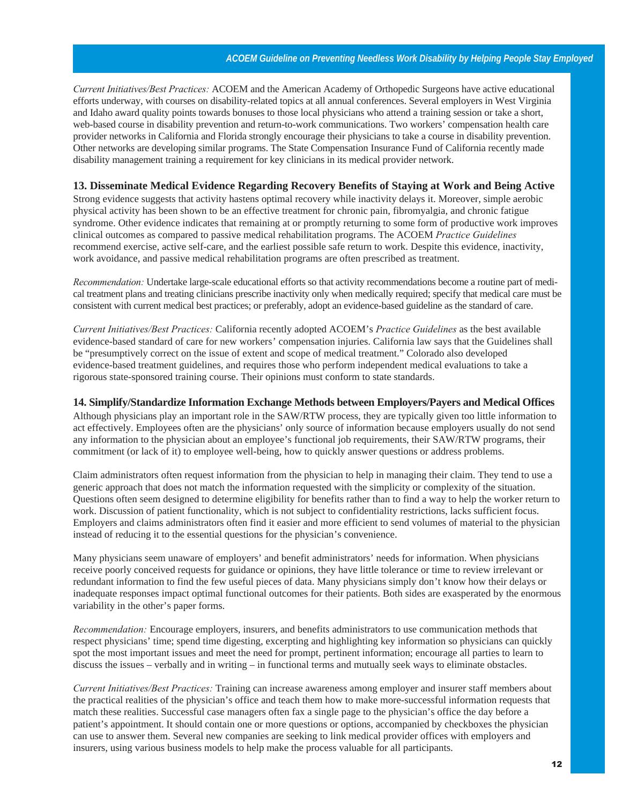*Current Initiatives/Best Practices:* ACOEM and the American Academy of Orthopedic Surgeons have active educational efforts underway, with courses on disability-related topics at all annual conferences. Several employers in West Virginia and Idaho award quality points towards bonuses to those local physicians who attend a training session or take a short, web-based course in disability prevention and return-to-work communications. Two workers' compensation health care provider networks in California and Florida strongly encourage their physicians to take a course in disability prevention. Other networks are developing similar programs. The State Compensation Insurance Fund of California recently made disability management training a requirement for key clinicians in its medical provider network.

## **13. Disseminate Medical Evidence Regarding Recovery Benefits of Staying at Work and Being Active**

Strong evidence suggests that activity hastens optimal recovery while inactivity delays it. Moreover, simple aerobic physical activity has been shown to be an effective treatment for chronic pain, fibromyalgia, and chronic fatigue syndrome. Other evidence indicates that remaining at or promptly returning to some form of productive work improves clinical outcomes as compared to passive medical rehabilitation programs. The ACOEM *Practice Guidelines* recommend exercise, active self-care, and the earliest possible safe return to work. Despite this evidence, inactivity, work avoidance, and passive medical rehabilitation programs are often prescribed as treatment.

*Recommendation:* Undertake large-scale educational efforts so that activity recommendations become a routine part of medical treatment plans and treating clinicians prescribe inactivity only when medically required; specify that medical care must be consistent with current medical best practices; or preferably, adopt an evidence-based guideline as the standard of care.

*Current Initiatives/Best Practices:* California recently adopted ACOEM's *Practice Guidelines* as the best available evidence-based standard of care for new workers' compensation injuries. California law says that the Guidelines shall be "presumptively correct on the issue of extent and scope of medical treatment." Colorado also developed evidence-based treatment guidelines, and requires those who perform independent medical evaluations to take a rigorous state-sponsored training course. Their opinions must conform to state standards.

## **14. Simplify/Standardize Information Exchange Methods between Employers/Payers and Medical Offices**

Although physicians play an important role in the SAW/RTW process, they are typically given too little information to act effectively. Employees often are the physicians' only source of information because employers usually do not send any information to the physician about an employee's functional job requirements, their SAW/RTW programs, their commitment (or lack of it) to employee well-being, how to quickly answer questions or address problems.

Claim administrators often request information from the physician to help in managing their claim. They tend to use a generic approach that does not match the information requested with the simplicity or complexity of the situation. Questions often seem designed to determine eligibility for benefits rather than to find a way to help the worker return to work. Discussion of patient functionality, which is not subject to confidentiality restrictions, lacks sufficient focus. Employers and claims administrators often find it easier and more efficient to send volumes of material to the physician instead of reducing it to the essential questions for the physician's convenience.

Many physicians seem unaware of employers' and benefit administrators' needs for information. When physicians receive poorly conceived requests for guidance or opinions, they have little tolerance or time to review irrelevant or redundant information to find the few useful pieces of data. Many physicians simply don't know how their delays or inadequate responses impact optimal functional outcomes for their patients. Both sides are exasperated by the enormous variability in the other's paper forms.

*Recommendation:* Encourage employers, insurers, and benefits administrators to use communication methods that respect physicians' time; spend time digesting, excerpting and highlighting key information so physicians can quickly spot the most important issues and meet the need for prompt, pertinent information; encourage all parties to learn to discuss the issues – verbally and in writing – in functional terms and mutually seek ways to eliminate obstacles.

*Current Initiatives/Best Practices:* Training can increase awareness among employer and insurer staff members about the practical realities of the physician's office and teach them how to make more-successful information requests that match these realities. Successful case managers often fax a single page to the physician's office the day before a patient's appointment. It should contain one or more questions or options, accompanied by checkboxes the physician can use to answer them. Several new companies are seeking to link medical provider offices with employers and insurers, using various business models to help make the process valuable for all participants.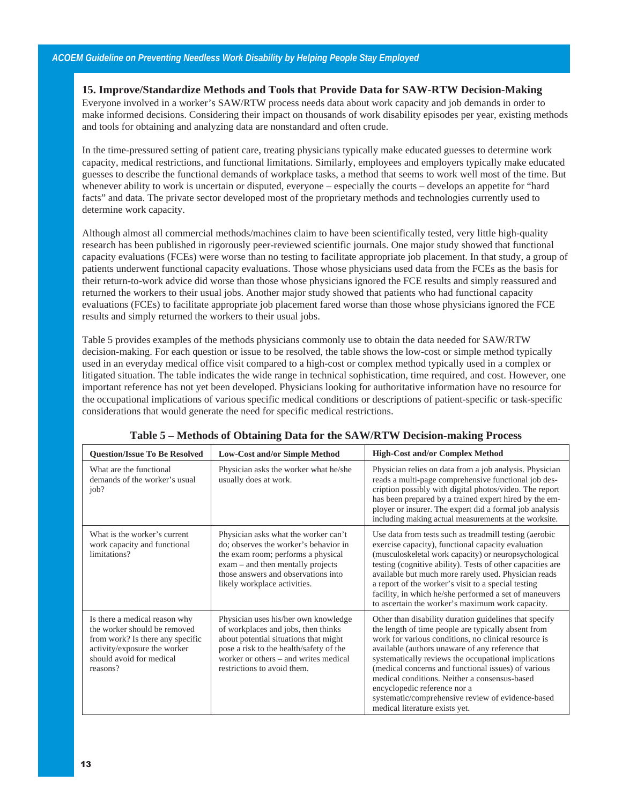## **15. Improve/Standardize Methods and Tools that Provide Data for SAW-RTW Decision-Making**

Everyone involved in a worker's SAW/RTW process needs data about work capacity and job demands in order to make informed decisions. Considering their impact on thousands of work disability episodes per year, existing methods and tools for obtaining and analyzing data are nonstandard and often crude.

In the time-pressured setting of patient care, treating physicians typically make educated guesses to determine work capacity, medical restrictions, and functional limitations. Similarly, employees and employers typically make educated guesses to describe the functional demands of workplace tasks, a method that seems to work well most of the time. But whenever ability to work is uncertain or disputed, everyone – especially the courts – develops an appetite for "hard facts" and data. The private sector developed most of the proprietary methods and technologies currently used to determine work capacity.

Although almost all commercial methods/machines claim to have been scientifically tested, very little high-quality research has been published in rigorously peer-reviewed scientific journals. One major study showed that functional capacity evaluations (FCEs) were worse than no testing to facilitate appropriate job placement. In that study, a group of patients underwent functional capacity evaluations. Those whose physicians used data from the FCEs as the basis for their return-to-work advice did worse than those whose physicians ignored the FCE results and simply reassured and returned the workers to their usual jobs. Another major study showed that patients who had functional capacity evaluations (FCEs) to facilitate appropriate job placement fared worse than those whose physicians ignored the FCE results and simply returned the workers to their usual jobs.

Table 5 provides examples of the methods physicians commonly use to obtain the data needed for SAW/RTW decision-making. For each question or issue to be resolved, the table shows the low-cost or simple method typically used in an everyday medical office visit compared to a high-cost or complex method typically used in a complex or litigated situation. The table indicates the wide range in technical sophistication, time required, and cost. However, one important reference has not yet been developed. Physicians looking for authoritative information have no resource for the occupational implications of various specific medical conditions or descriptions of patient-specific or task-specific considerations that would generate the need for specific medical restrictions.

| <b>Question/Issue To Be Resolved</b>                                                                                                                                      | <b>Low-Cost and/or Simple Method</b>                                                                                                                                                                                                    | <b>High-Cost and/or Complex Method</b>                                                                                                                                                                                                                                                                                                                                                                                                                                                                           |  |
|---------------------------------------------------------------------------------------------------------------------------------------------------------------------------|-----------------------------------------------------------------------------------------------------------------------------------------------------------------------------------------------------------------------------------------|------------------------------------------------------------------------------------------------------------------------------------------------------------------------------------------------------------------------------------------------------------------------------------------------------------------------------------------------------------------------------------------------------------------------------------------------------------------------------------------------------------------|--|
| What are the functional<br>demands of the worker's usual<br>job?                                                                                                          | Physician asks the worker what he/she<br>usually does at work.                                                                                                                                                                          | Physician relies on data from a job analysis. Physician<br>reads a multi-page comprehensive functional job des-<br>cription possibly with digital photos/video. The report<br>has been prepared by a trained expert hired by the em-<br>ployer or insurer. The expert did a formal job analysis<br>including making actual measurements at the worksite.                                                                                                                                                         |  |
| What is the worker's current<br>work capacity and functional<br>limitations?                                                                                              | Physician asks what the worker can't<br>do; observes the worker's behavior in<br>the exam room; performs a physical<br>exam – and then mentally projects<br>those answers and observations into<br>likely workplace activities.         | Use data from tests such as treadmill testing (aerobic<br>exercise capacity), functional capacity evaluation<br>(musculoskeletal work capacity) or neuropsychological<br>testing (cognitive ability). Tests of other capacities are<br>available but much more rarely used. Physician reads<br>a report of the worker's visit to a special testing<br>facility, in which he/she performed a set of maneuvers<br>to ascertain the worker's maximum work capacity.                                                 |  |
| Is there a medical reason why<br>the worker should be removed<br>from work? Is there any specific<br>activity/exposure the worker<br>should avoid for medical<br>reasons? | Physician uses his/her own knowledge<br>of workplaces and jobs, then thinks<br>about potential situations that might<br>pose a risk to the health/safety of the<br>worker or others – and writes medical<br>restrictions to avoid them. | Other than disability duration guidelines that specify<br>the length of time people are typically absent from<br>work for various conditions, no clinical resource is<br>available (authors unaware of any reference that<br>systematically reviews the occupational implications<br>(medical concerns and functional issues) of various<br>medical conditions. Neither a consensus-based<br>encyclopedic reference nor a<br>systematic/comprehensive review of evidence-based<br>medical literature exists yet. |  |

## **Table 5 – Methods of Obtaining Data for the SAW/RTW Decision-making Process**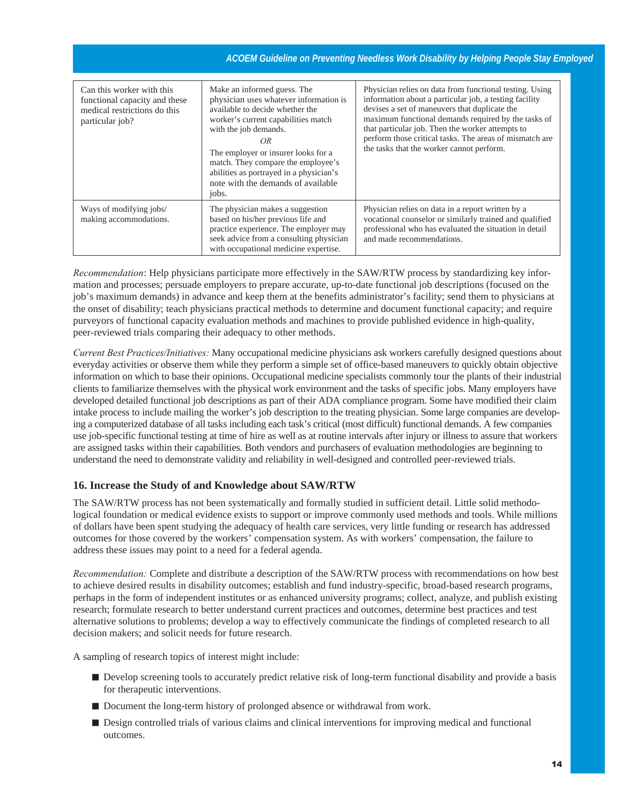| Can this worker with this<br>functional capacity and these<br>medical restrictions do this<br>particular job? | Make an informed guess. The<br>physician uses whatever information is<br>available to decide whether the<br>worker's current capabilities match<br>with the job demands.<br>OR<br>The employer or insurer looks for a<br>match. They compare the employee's<br>abilities as portrayed in a physician's<br>note with the demands of available<br>jobs. | Physician relies on data from functional testing. Using<br>information about a particular job, a testing facility<br>devises a set of maneuvers that duplicate the<br>maximum functional demands required by the tasks of<br>that particular job. Then the worker attempts to<br>perform those critical tasks. The areas of mismatch are<br>the tasks that the worker cannot perform. |
|---------------------------------------------------------------------------------------------------------------|-------------------------------------------------------------------------------------------------------------------------------------------------------------------------------------------------------------------------------------------------------------------------------------------------------------------------------------------------------|---------------------------------------------------------------------------------------------------------------------------------------------------------------------------------------------------------------------------------------------------------------------------------------------------------------------------------------------------------------------------------------|
| Ways of modifying jobs/<br>making accommodations.                                                             | The physician makes a suggestion<br>based on his/her previous life and<br>practice experience. The employer may<br>seek advice from a consulting physician<br>with occupational medicine expertise.                                                                                                                                                   | Physician relies on data in a report written by a<br>vocational counselor or similarly trained and qualified<br>professional who has evaluated the situation in detail<br>and made recommendations.                                                                                                                                                                                   |

*Recommendation*: Help physicians participate more effectively in the SAW/RTW process by standardizing key information and processes; persuade employers to prepare accurate, up-to-date functional job descriptions (focused on the job's maximum demands) in advance and keep them at the benefits administrator's facility; send them to physicians at the onset of disability; teach physicians practical methods to determine and document functional capacity; and require purveyors of functional capacity evaluation methods and machines to provide published evidence in high-quality, peer-reviewed trials comparing their adequacy to other methods.

*Current Best Practices/Initiatives:* Many occupational medicine physicians ask workers carefully designed questions about everyday activities or observe them while they perform a simple set of office-based maneuvers to quickly obtain objective information on which to base their opinions. Occupational medicine specialists commonly tour the plants of their industrial clients to familiarize themselves with the physical work environment and the tasks of specific jobs. Many employers have developed detailed functional job descriptions as part of their ADA compliance program. Some have modified their claim intake process to include mailing the worker's job description to the treating physician. Some large companies are developing a computerized database of all tasks including each task's critical (most difficult) functional demands. A few companies use job-specific functional testing at time of hire as well as at routine intervals after injury or illness to assure that workers are assigned tasks within their capabilities. Both vendors and purchasers of evaluation methodologies are beginning to understand the need to demonstrate validity and reliability in well-designed and controlled peer-reviewed trials.

## **16. Increase the Study of and Knowledge about SAW/RTW**

The SAW/RTW process has not been systematically and formally studied in sufficient detail. Little solid methodological foundation or medical evidence exists to support or improve commonly used methods and tools. While millions of dollars have been spent studying the adequacy of health care services, very little funding or research has addressed outcomes for those covered by the workers' compensation system. As with workers' compensation, the failure to address these issues may point to a need for a federal agenda.

*Recommendation:* Complete and distribute a description of the SAW/RTW process with recommendations on how best to achieve desired results in disability outcomes; establish and fund industry-specific, broad-based research programs, perhaps in the form of independent institutes or as enhanced university programs; collect, analyze, and publish existing research; formulate research to better understand current practices and outcomes, determine best practices and test alternative solutions to problems; develop a way to effectively communicate the findings of completed research to all decision makers; and solicit needs for future research.

A sampling of research topics of interest might include:

- Develop screening tools to accurately predict relative risk of long-term functional disability and provide a basis for therapeutic interventions.
- Document the long-term history of prolonged absence or withdrawal from work.
- Design controlled trials of various claims and clinical interventions for improving medical and functional outcomes.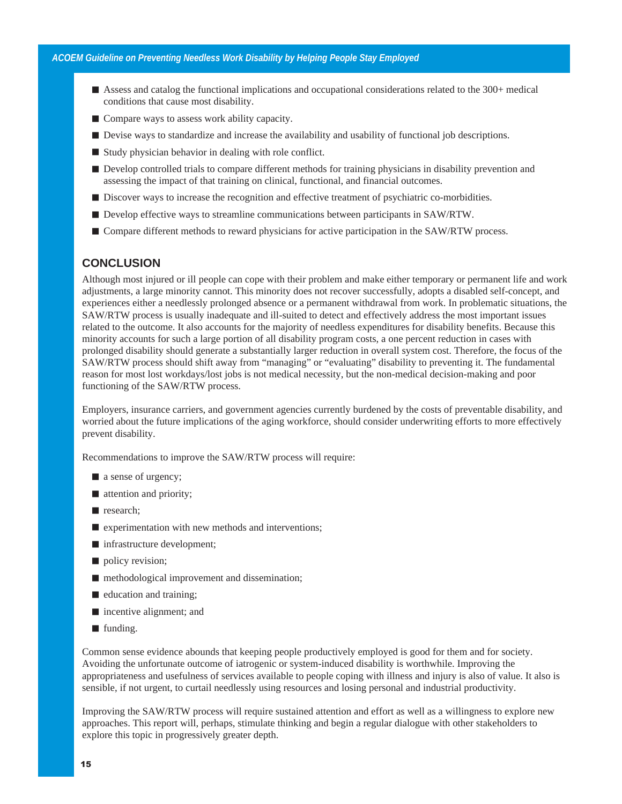- Assess and catalog the functional implications and occupational considerations related to the 300+ medical conditions that cause most disability.
- Compare ways to assess work ability capacity.
- Devise ways to standardize and increase the availability and usability of functional job descriptions.
- Study physician behavior in dealing with role conflict.
- Develop controlled trials to compare different methods for training physicians in disability prevention and assessing the impact of that training on clinical, functional, and financial outcomes.
- Discover ways to increase the recognition and effective treatment of psychiatric co-morbidities.
- Develop effective ways to streamline communications between participants in SAW/RTW.
- Compare different methods to reward physicians for active participation in the SAW/RTW process.

## **CONCLUSION**

Although most injured or ill people can cope with their problem and make either temporary or permanent life and work adjustments, a large minority cannot. This minority does not recover successfully, adopts a disabled self-concept, and experiences either a needlessly prolonged absence or a permanent withdrawal from work. In problematic situations, the SAW/RTW process is usually inadequate and ill-suited to detect and effectively address the most important issues related to the outcome. It also accounts for the majority of needless expenditures for disability benefits. Because this minority accounts for such a large portion of all disability program costs, a one percent reduction in cases with prolonged disability should generate a substantially larger reduction in overall system cost. Therefore, the focus of the SAW/RTW process should shift away from "managing" or "evaluating" disability to preventing it. The fundamental reason for most lost workdays/lost jobs is not medical necessity, but the non-medical decision-making and poor functioning of the SAW/RTW process.

Employers, insurance carriers, and government agencies currently burdened by the costs of preventable disability, and worried about the future implications of the aging workforce, should consider underwriting efforts to more effectively prevent disability.

Recommendations to improve the SAW/RTW process will require:

- a sense of urgency;
- attention and priority;
- **n** research;
- experimentation with new methods and interventions;
- infrastructure development;
- policy revision;
- $\blacksquare$  methodological improvement and dissemination;
- education and training;
- incentive alignment; and
- **I** funding.

Common sense evidence abounds that keeping people productively employed is good for them and for society. Avoiding the unfortunate outcome of iatrogenic or system-induced disability is worthwhile. Improving the appropriateness and usefulness of services available to people coping with illness and injury is also of value. It also is sensible, if not urgent, to curtail needlessly using resources and losing personal and industrial productivity.

Improving the SAW/RTW process will require sustained attention and effort as well as a willingness to explore new approaches. This report will, perhaps, stimulate thinking and begin a regular dialogue with other stakeholders to explore this topic in progressively greater depth.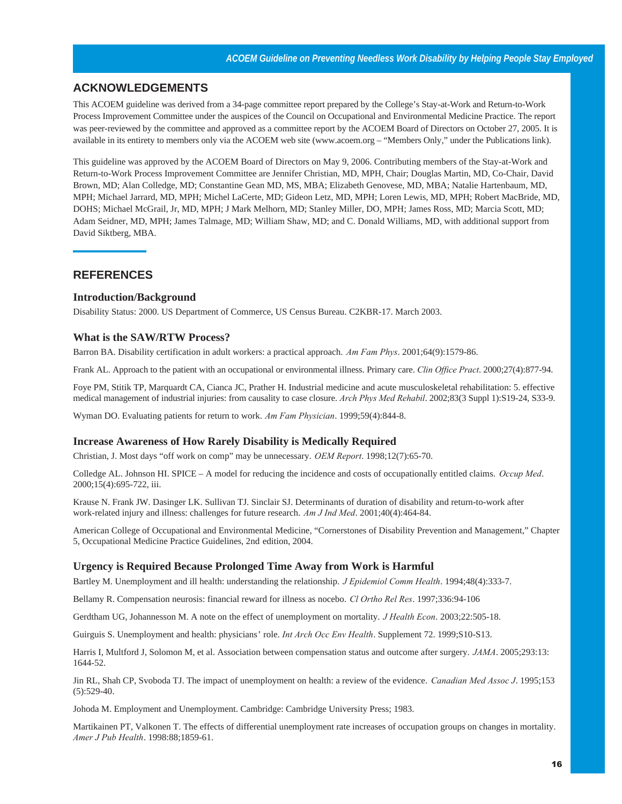## **ACKNOWLEDGEMENTS**

This ACOEM guideline was derived from a 34-page committee report prepared by the College's Stay-at-Work and Return-to-Work Process Improvement Committee under the auspices of the Council on Occupational and Environmental Medicine Practice. The report was peer-reviewed by the committee and approved as a committee report by the ACOEM Board of Directors on October 27, 2005. It is available in its entirety to members only via the ACOEM web site (www.acoem.org – "Members Only," under the Publications link).

This guideline was approved by the ACOEM Board of Directors on May 9, 2006. Contributing members of the Stay-at-Work and Return-to-Work Process Improvement Committee are Jennifer Christian, MD, MPH, Chair; Douglas Martin, MD, Co-Chair, David Brown, MD; Alan Colledge, MD; Constantine Gean MD, MS, MBA; Elizabeth Genovese, MD, MBA; Natalie Hartenbaum, MD, MPH; Michael Jarrard, MD, MPH; Michel LaCerte, MD; Gideon Letz, MD, MPH; Loren Lewis, MD, MPH; Robert MacBride, MD, DOHS; Michael McGrail, Jr, MD, MPH; J Mark Melhorn, MD; Stanley Miller, DO, MPH; James Ross, MD; Marcia Scott, MD; Adam Seidner, MD, MPH; James Talmage, MD; William Shaw, MD; and C. Donald Williams, MD, with additional support from David Siktberg, MBA.

## **REFERENCES**

#### **Introduction/Background**

Disability Status: 2000. US Department of Commerce, US Census Bureau. C2KBR-17. March 2003.

## **What is the SAW/RTW Process?**

Barron BA. Disability certification in adult workers: a practical approach. *Am Fam Phys*. 2001;64(9):1579-86.

Frank AL. Approach to the patient with an occupational or environmental illness. Primary care. *Clin Office Pract*. 2000;27(4):877-94.

Foye PM, Stitik TP, Marquardt CA, Cianca JC, Prather H. Industrial medicine and acute musculoskeletal rehabilitation: 5. effective medical management of industrial injuries: from causality to case closure. *Arch Phys Med Rehabil*. 2002;83(3 Suppl 1):S19-24, S33-9.

Wyman DO. Evaluating patients for return to work. *Am Fam Physician*. 1999;59(4):844-8.

## **Increase Awareness of How Rarely Disability is Medically Required**

Christian, J. Most days "off work on comp" may be unnecessary. *OEM Report*. 1998;12(7):65-70.

Colledge AL. Johnson HI. SPICE – A model for reducing the incidence and costs of occupationally entitled claims. *Occup Med*. 2000;15(4):695-722, iii.

Krause N. Frank JW. Dasinger LK. Sullivan TJ. Sinclair SJ. Determinants of duration of disability and return-to-work after work-related injury and illness: challenges for future research. *Am J Ind Med*. 2001;40(4):464-84.

American College of Occupational and Environmental Medicine, "Cornerstones of Disability Prevention and Management," Chapter 5, Occupational Medicine Practice Guidelines, 2nd edition, 2004.

#### **Urgency is Required Because Prolonged Time Away from Work is Harmful**

Bartley M. Unemployment and ill health: understanding the relationship. *J Epidemiol Comm Health*. 1994;48(4):333-7.

Bellamy R. Compensation neurosis: financial reward for illness as nocebo. *Cl Ortho Rel Res*. 1997;336:94-106

Gerdtham UG, Johannesson M. A note on the effect of unemployment on mortality. *J Health Econ*. 2003;22:505-18.

Guirguis S. Unemployment and health: physicians' role. *Int Arch Occ Env Health*. Supplement 72. 1999;S10-S13.

Harris I, Multford J, Solomon M, et al. Association between compensation status and outcome after surgery. *JAMA*. 2005;293:13: 1644-52.

Jin RL, Shah CP, Svoboda TJ. The impact of unemployment on health: a review of the evidence. *Canadian Med Assoc J*. 1995;153 (5):529-40.

Johoda M. Employment and Unemployment. Cambridge: Cambridge University Press; 1983.

Martikainen PT, Valkonen T. The effects of differential unemployment rate increases of occupation groups on changes in mortality. *Amer J Pub Health*. 1998:88;1859-61.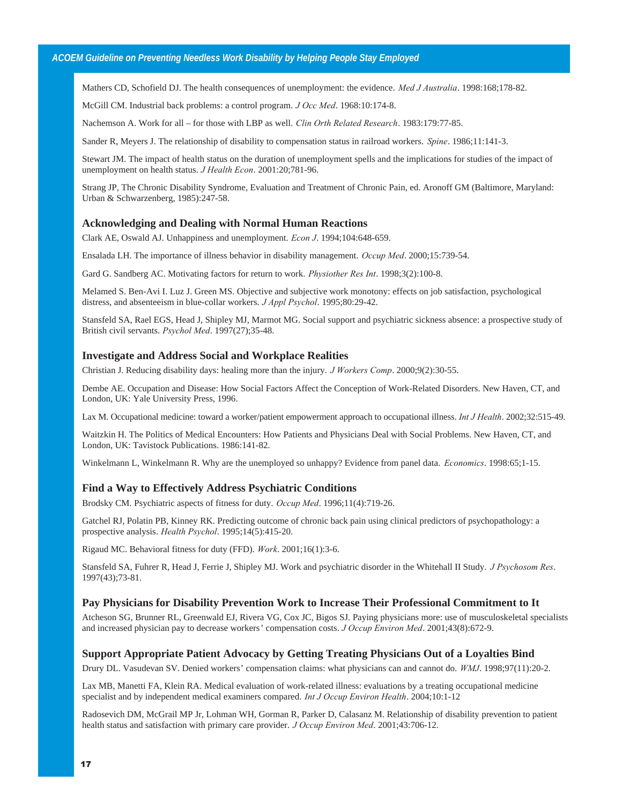Mathers CD, Schofield DJ. The health consequences of unemployment: the evidence. *Med J Australia*. 1998:168;178-82.

McGill CM. Industrial back problems: a control program. *J Occ Med*. 1968:10:174-8.

Nachemson A. Work for all – for those with LBP as well. *Clin Orth Related Research*. 1983:179:77-85.

Sander R, Meyers J. The relationship of disability to compensation status in railroad workers. *Spine*. 1986;11:141-3.

Stewart JM. The impact of health status on the duration of unemployment spells and the implications for studies of the impact of unemployment on health status. *J Health Econ*. 2001:20;781-96.

Strang JP, The Chronic Disability Syndrome, Evaluation and Treatment of Chronic Pain, ed. Aronoff GM (Baltimore, Maryland: Urban & Schwarzenberg, 1985):247-58.

#### **Acknowledging and Dealing with Normal Human Reactions**

Clark AE, Oswald AJ. Unhappiness and unemployment. *Econ J*. 1994;104:648-659.

Ensalada LH. The importance of illness behavior in disability management. *Occup Med*. 2000;15:739-54.

Gard G. Sandberg AC. Motivating factors for return to work. *Physiother Res Int*. 1998;3(2):100-8.

Melamed S. Ben-Avi I. Luz J. Green MS. Objective and subjective work monotony: effects on job satisfaction, psychological distress, and absenteeism in blue-collar workers. *J Appl Psychol*. 1995;80:29-42.

Stansfeld SA, Rael EGS, Head J, Shipley MJ, Marmot MG. Social support and psychiatric sickness absence: a prospective study of British civil servants. *Psychol Med*. 1997(27);35-48.

#### **Investigate and Address Social and Workplace Realities**

Christian J. Reducing disability days: healing more than the injury. *J Workers Comp*. 2000;9(2):30-55.

Dembe AE. Occupation and Disease: How Social Factors Affect the Conception of Work-Related Disorders. New Haven, CT, and London, UK: Yale University Press, 1996.

Lax M. Occupational medicine: toward a worker/patient empowerment approach to occupational illness. *Int J Health*. 2002;32:515-49.

Waitzkin H. The Politics of Medical Encounters: How Patients and Physicians Deal with Social Problems. New Haven, CT, and London, UK: Tavistock Publications. 1986:141-82.

Winkelmann L, Winkelmann R. Why are the unemployed so unhappy? Evidence from panel data. *Economics*. 1998:65;1-15.

#### **Find a Way to Effectively Address Psychiatric Conditions**

Brodsky CM. Psychiatric aspects of fitness for duty. *Occup Med*. 1996;11(4):719-26.

Gatchel RJ, Polatin PB, Kinney RK. Predicting outcome of chronic back pain using clinical predictors of psychopathology: a prospective analysis. *Health Psychol*. 1995;14(5):415-20.

Rigaud MC. Behavioral fitness for duty (FFD). *Work*. 2001;16(1):3-6.

Stansfeld SA, Fuhrer R, Head J, Ferrie J, Shipley MJ. Work and psychiatric disorder in the Whitehall II Study. *J Psychosom Res*. 1997(43);73-81.

#### **Pay Physicians for Disability Prevention Work to Increase Their Professional Commitment to It**

Atcheson SG, Brunner RL, Greenwald EJ, Rivera VG, Cox JC, Bigos SJ. Paying physicians more: use of musculoskeletal specialists and increased physician pay to decrease workers' compensation costs. *J Occup Environ Med*. 2001;43(8):672-9.

#### **Support Appropriate Patient Advocacy by Getting Treating Physicians Out of a Loyalties Bind**

Drury DL. Vasudevan SV. Denied workers' compensation claims: what physicians can and cannot do. *WMJ*. 1998;97(11):20-2.

Lax MB, Manetti FA, Klein RA. Medical evaluation of work-related illness: evaluations by a treating occupational medicine specialist and by independent medical examiners compared. *Int J Occup Environ Health*. 2004;10:1-12

Radosevich DM, McGrail MP Jr, Lohman WH, Gorman R, Parker D, Calasanz M. Relationship of disability prevention to patient health status and satisfaction with primary care provider. *J Occup Environ Med*. 2001;43:706-12.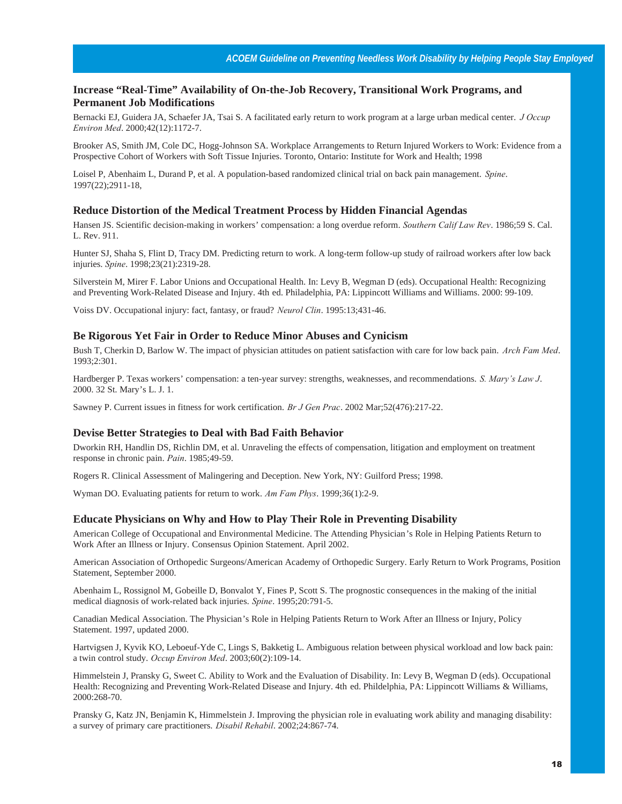## **Increase "Real-Time" Availability of On-the-Job Recovery, Transitional Work Programs, and Permanent Job Modifications**

Bernacki EJ, Guidera JA, Schaefer JA, Tsai S. A facilitated early return to work program at a large urban medical center. *J Occup Environ Med*. 2000;42(12):1172-7.

Brooker AS, Smith JM, Cole DC, Hogg-Johnson SA. Workplace Arrangements to Return Injured Workers to Work: Evidence from a Prospective Cohort of Workers with Soft Tissue Injuries. Toronto, Ontario: Institute for Work and Health; 1998

Loisel P, Abenhaim L, Durand P, et al. A population-based randomized clinical trial on back pain management. *Spine*. 1997(22);2911-18,

#### **Reduce Distortion of the Medical Treatment Process by Hidden Financial Agendas**

Hansen JS. Scientific decision-making in workers' compensation: a long overdue reform. *Southern Calif Law Rev*. 1986;59 S. Cal. L. Rev. 911.

Hunter SJ, Shaha S, Flint D, Tracy DM. Predicting return to work. A long-term follow-up study of railroad workers after low back injuries. *Spine*. 1998;23(21):2319-28.

Silverstein M, Mirer F. Labor Unions and Occupational Health. In: Levy B, Wegman D (eds). Occupational Health: Recognizing and Preventing Work-Related Disease and Injury. 4th ed. Philadelphia, PA: Lippincott Williams and Williams. 2000: 99-109.

Voiss DV. Occupational injury: fact, fantasy, or fraud? *Neurol Clin*. 1995:13;431-46.

#### **Be Rigorous Yet Fair in Order to Reduce Minor Abuses and Cynicism**

Bush T, Cherkin D, Barlow W. The impact of physician attitudes on patient satisfaction with care for low back pain. *Arch Fam Med*. 1993;2:301.

Hardberger P. Texas workers' compensation: a ten-year survey: strengths, weaknesses, and recommendations. *S. Mary's Law J*. 2000. 32 St. Mary's L. J. 1.

Sawney P. Current issues in fitness for work certification. *Br J Gen Prac*. 2002 Mar;52(476):217-22.

#### **Devise Better Strategies to Deal with Bad Faith Behavior**

Dworkin RH, Handlin DS, Richlin DM, et al. Unraveling the effects of compensation, litigation and employment on treatment response in chronic pain. *Pain*. 1985;49-59.

Rogers R. Clinical Assessment of Malingering and Deception. New York, NY: Guilford Press; 1998.

Wyman DO. Evaluating patients for return to work. *Am Fam Phys*. 1999;36(1):2-9.

#### **Educate Physicians on Why and How to Play Their Role in Preventing Disability**

American College of Occupational and Environmental Medicine. The Attending Physician's Role in Helping Patients Return to Work After an Illness or Injury. Consensus Opinion Statement. April 2002.

American Association of Orthopedic Surgeons/American Academy of Orthopedic Surgery. Early Return to Work Programs, Position Statement, September 2000.

Abenhaim L, Rossignol M, Gobeille D, Bonvalot Y, Fines P, Scott S. The prognostic consequences in the making of the initial medical diagnosis of work-related back injuries. *Spine*. 1995;20:791-5.

Canadian Medical Association. The Physician's Role in Helping Patients Return to Work After an Illness or Injury, Policy Statement. 1997, updated 2000.

Hartvigsen J, Kyvik KO, Leboeuf-Yde C, Lings S, Bakketig L. Ambiguous relation between physical workload and low back pain: a twin control study. *Occup Environ Med*. 2003;60(2):109-14.

Himmelstein J, Pransky G, Sweet C. Ability to Work and the Evaluation of Disability. In: Levy B, Wegman D (eds). Occupational Health: Recognizing and Preventing Work-Related Disease and Injury. 4th ed. Phildelphia, PA: Lippincott Williams & Williams, 2000:268-70.

Pransky G, Katz JN, Benjamin K, Himmelstein J. Improving the physician role in evaluating work ability and managing disability: a survey of primary care practitioners. *Disabil Rehabil*. 2002;24:867-74.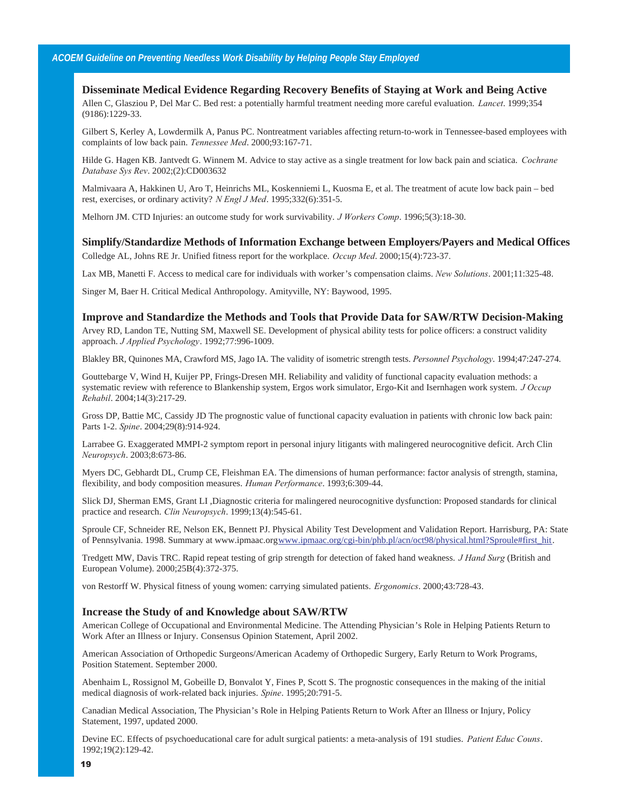#### **Disseminate Medical Evidence Regarding Recovery Benefits of Staying at Work and Being Active**

Allen C, Glasziou P, Del Mar C. Bed rest: a potentially harmful treatment needing more careful evaluation. *Lancet*. 1999;354 (9186):1229-33.

Gilbert S, Kerley A, Lowdermilk A, Panus PC. Nontreatment variables affecting return-to-work in Tennessee-based employees with complaints of low back pain. *Tennessee Med*. 2000;93:167-71.

Hilde G. Hagen KB. Jantvedt G. Winnem M. Advice to stay active as a single treatment for low back pain and sciatica. *Cochrane Database Sys Rev*. 2002;(2):CD003632

Malmivaara A, Hakkinen U, Aro T, Heinrichs ML, Koskenniemi L, Kuosma E, et al. The treatment of acute low back pain – bed rest, exercises, or ordinary activity? *N Engl J Med*. 1995;332(6):351-5.

Melhorn JM. CTD Injuries: an outcome study for work survivability. *J Workers Comp*. 1996;5(3):18-30.

## **Simplify/Standardize Methods of Information Exchange between Employers/Payers and Medical Offices**

Colledge AL, Johns RE Jr. Unified fitness report for the workplace. *Occup Med*. 2000;15(4):723-37.

Lax MB, Manetti F. Access to medical care for individuals with worker's compensation claims. *New Solutions*. 2001;11:325-48.

Singer M, Baer H. Critical Medical Anthropology. Amityville, NY: Baywood, 1995.

#### **Improve and Standardize the Methods and Tools that Provide Data for SAW/RTW Decision-Making**

Arvey RD, Landon TE, Nutting SM, Maxwell SE. Development of physical ability tests for police officers: a construct validity approach. *J Applied Psychology*. 1992;77:996-1009.

Blakley BR, Quinones MA, Crawford MS, Jago IA. The validity of isometric strength tests. *Personnel Psychology*. 1994;47:247-274.

Gouttebarge V, Wind H, Kuijer PP, Frings-Dresen MH. Reliability and validity of functional capacity evaluation methods: a systematic review with reference to Blankenship system, Ergos work simulator, Ergo-Kit and Isernhagen work system. *J Occup Rehabil*. 2004;14(3):217-29.

Gross DP, Battie MC, Cassidy JD The prognostic value of functional capacity evaluation in patients with chronic low back pain: Parts 1-2. *Spine*. 2004;29(8):914-924.

Larrabee G. Exaggerated MMPI-2 symptom report in personal injury litigants with malingered neurocognitive deficit. Arch Clin *Neuropsych*. 2003;8:673-86.

Myers DC, Gebhardt DL, Crump CE, Fleishman EA. The dimensions of human performance: factor analysis of strength, stamina, flexibility, and body composition measures. *Human Performance*. 1993;6:309-44.

Slick DJ, Sherman EMS, Grant LI ,Diagnostic criteria for malingered neurocognitive dysfunction: Proposed standards for clinical practice and research. *Clin Neuropsych*. 1999;13(4):545-61.

Sproule CF, Schneider RE, Nelson EK, Bennett PJ. Physical Ability Test Development and Validation Report. Harrisburg, PA: State of Pennsylvania. 1998. Summary at www.ipmaac.orgwww.ipmaac.org/cgi-bin/phb.pl/acn/oct98/physical.html?Sproule#first\_hit.

Tredgett MW, Davis TRC. Rapid repeat testing of grip strength for detection of faked hand weakness. *J Hand Surg* (British and European Volume). 2000;25B(4):372-375.

von Restorff W. Physical fitness of young women: carrying simulated patients. *Ergonomics*. 2000;43:728-43.

#### **Increase the Study of and Knowledge about SAW/RTW**

American College of Occupational and Environmental Medicine. The Attending Physician's Role in Helping Patients Return to Work After an Illness or Injury. Consensus Opinion Statement, April 2002.

American Association of Orthopedic Surgeons/American Academy of Orthopedic Surgery, Early Return to Work Programs, Position Statement. September 2000.

Abenhaim L, Rossignol M, Gobeille D, Bonvalot Y, Fines P, Scott S. The prognostic consequences in the making of the initial medical diagnosis of work-related back injuries. *Spine*. 1995;20:791-5.

Canadian Medical Association, The Physician's Role in Helping Patients Return to Work After an Illness or Injury, Policy Statement, 1997, updated 2000.

Devine EC. Effects of psychoeducational care for adult surgical patients: a meta-analysis of 191 studies. *Patient Educ Couns*. 1992;19(2):129-42.